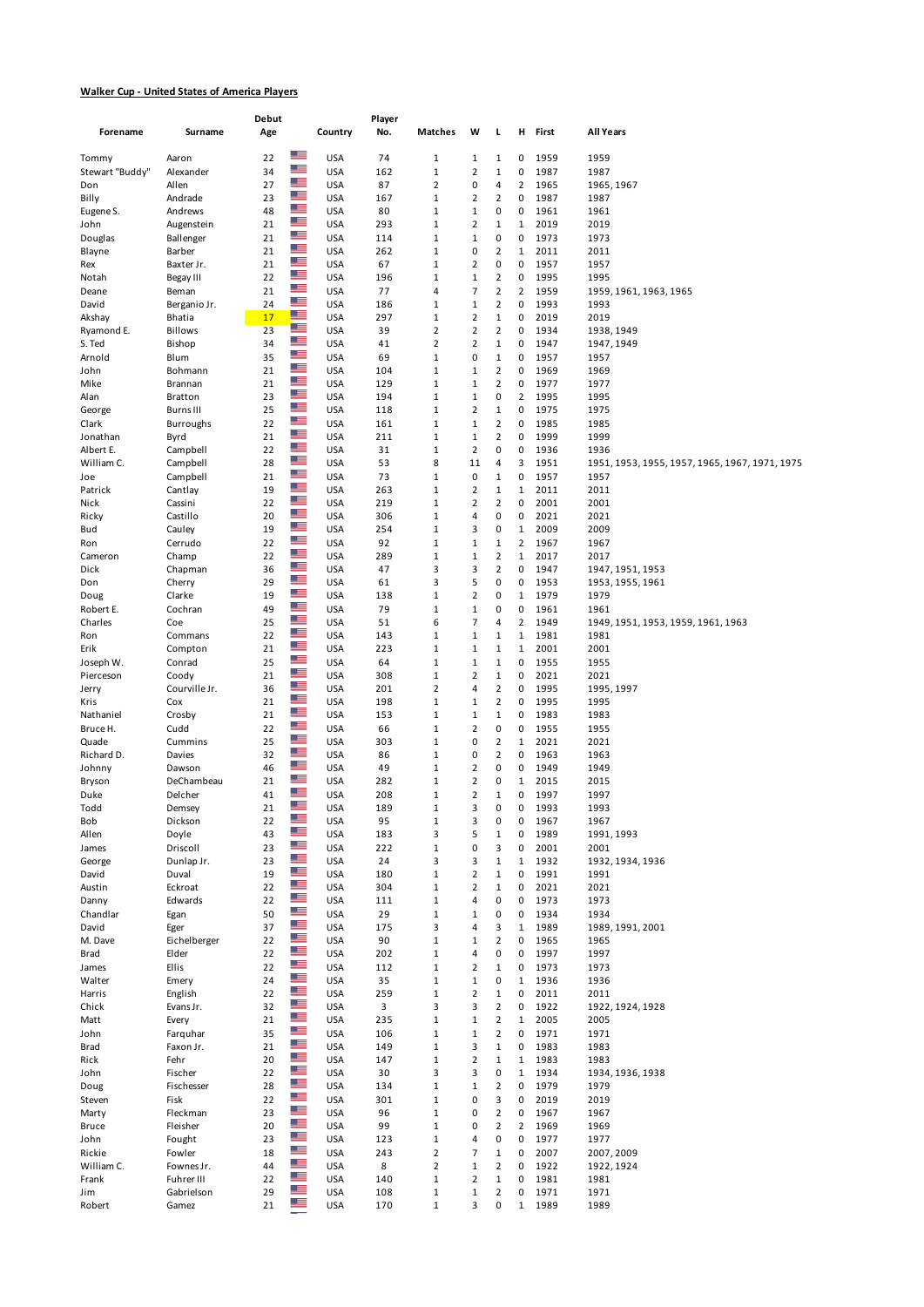## **Walker Cup - United States of America Players**

| Forename                 | Surname                       | Debut<br>Age |                                 | Country                  | Player<br>No. | Matches                       | W                             | L                                      | н                   | First        | All Years                                              |
|--------------------------|-------------------------------|--------------|---------------------------------|--------------------------|---------------|-------------------------------|-------------------------------|----------------------------------------|---------------------|--------------|--------------------------------------------------------|
|                          |                               |              | <u>or </u>                      |                          |               |                               |                               |                                        |                     |              |                                                        |
| Tommy<br>Stewart "Buddy" | Aaron<br>Alexander            | 22<br>34     | $\frac{m}{2}$                   | <b>USA</b><br><b>USA</b> | 74<br>162     | $\mathbf{1}$<br>$\mathbf 1$   | $\mathbf{1}$<br>2             | 1<br>$\mathbf 1$                       | 0<br>0              | 1959<br>1987 | 1959<br>1987                                           |
| Don                      | Allen                         | 27           | $\frac{m}{2}$                   | <b>USA</b>               | 87            | 2                             | 0                             | 4                                      | $\overline{2}$      | 1965         | 1965, 1967                                             |
| Billy                    | Andrade                       | 23           | $\frac{m}{2}$                   | <b>USA</b>               | 167           | $\mathbf 1$                   | 2                             | $\overline{2}$                         | 0                   | 1987         | 1987                                                   |
| Eugene S.                | Andrews                       | 48           | $\frac{m}{2}$<br>▀              | <b>USA</b>               | 80            | $\mathbf{1}$                  | $\mathbf{1}$                  | 0                                      | 0                   | 1961         | 1961                                                   |
| John                     | Augenstein                    | 21<br>21     | $\frac{1}{2}$                   | <b>USA</b><br><b>USA</b> | 293<br>114    | $\mathbf 1$<br>$\mathbf 1$    | 2<br>$\mathbf 1$              | 1<br>0                                 | 1<br>0              | 2019<br>1973 | 2019                                                   |
| Douglas<br>Blayne        | Ballenger<br>Barber           | 21           | ≊≡                              | <b>USA</b>               | 262           | $\mathbf 1$                   | 0                             | $\overline{2}$                         | 1                   | 2011         | 1973<br>2011                                           |
| Rex                      | Baxter Jr.                    | 21           | $\frac{1}{2}$                   | <b>USA</b>               | 67            | $\mathbf 1$                   | $\overline{2}$                | 0                                      | 0                   | 1957         | 1957                                                   |
| Notah                    | Begay III                     | 22           | $\frac{m}{2}$                   | <b>USA</b>               | 196           | $\mathbf 1$                   | $\mathbf 1$                   | $\overline{2}$                         | 0                   | 1995         | 1995                                                   |
| Deane                    | Beman                         | 21           | ≝<br>$\frac{1}{2}$              | <b>USA</b>               | 77            | 4                             | 7                             | $\overline{2}$                         | $\overline{2}$      | 1959         | 1959, 1961, 1963, 1965                                 |
| David<br>Akshay          | Berganio Jr.<br><b>Bhatia</b> | 24<br>17     | <u>me</u>                       | <b>USA</b><br><b>USA</b> | 186<br>297    | $\mathbf{1}$<br>$\mathbf 1$   | $\mathbf 1$<br>$\overline{2}$ | $\overline{\mathbf{c}}$<br>$\mathbf 1$ | 0<br>0              | 1993<br>2019 | 1993<br>2019                                           |
| Ryamond E.               | <b>Billows</b>                | 23           | <b>RE</b>                       | <b>USA</b>               | 39            | 2                             | 2                             | $\overline{2}$                         | 0                   | 1934         | 1938, 1949                                             |
| S. Ted                   | Bishop                        | 34           | $\frac{1}{2}$                   | <b>USA</b>               | 41            | $\overline{2}$                | 2                             | 1                                      | 0                   | 1947         | 1947, 1949                                             |
| Arnold                   | Blum                          | 35           | $\frac{1}{2}$<br>≝              | <b>USA</b>               | 69            | $\mathbf 1$                   | 0                             | $\mathbf 1$                            | 0                   | 1957         | 1957                                                   |
| John<br>Mike             | Bohmann<br>Brannan            | 21<br>21     | ≊≡                              | <b>USA</b><br><b>USA</b> | 104<br>129    | $\mathbf 1$<br>$\mathbf 1$    | $\mathbf 1$<br>$\mathbf 1$    | $\overline{2}$<br>$\overline{2}$       | 0<br>0              | 1969<br>1977 | 1969<br>1977                                           |
| Alan                     | <b>Bratton</b>                | 23           | $\frac{1}{2}$                   | <b>USA</b>               | 194           | $\mathbf 1$                   | $\mathbf{1}$                  | 0                                      | $\overline{2}$      | 1995         | 1995                                                   |
| George                   | <b>Burns III</b>              | 25           | ≝≡                              | <b>USA</b>               | 118           | $\mathbf 1$                   | 2                             | $\mathbf 1$                            | 0                   | 1975         | 1975                                                   |
| Clark                    | <b>Burroughs</b>              | 22           | ≝                               | <b>USA</b>               | 161           | $\mathbf 1$                   | $\mathbf 1$                   | $\mathbf 2$                            | 0                   | 1985         | 1985                                                   |
| Jonathan                 | Byrd                          | 21           | ≝<br>$\frac{1}{2}$              | <b>USA</b>               | 211           | $\mathbf 1$                   | $\mathbf{1}$                  | $\overline{2}$                         | 0                   | 1999         | 1999                                                   |
| Albert E.<br>William C.  | Campbell<br>Campbell          | 22<br>28     | ≝                               | <b>USA</b><br><b>USA</b> | 31<br>53      | $\mathbf 1$<br>8              | 2<br>11                       | 0<br>4                                 | 0<br>3              | 1936<br>1951 | 1936<br>1951, 1953, 1955, 1957, 1965, 1967, 1971, 1975 |
| Joe                      | Campbell                      | 21           | ≝                               | <b>USA</b>               | 73            | $\mathbf 1$                   | 0                             | $\mathbf{1}$                           | 0                   | 1957         | 1957                                                   |
| Patrick                  | Cantlay                       | 19           | $\frac{1}{2}$                   | <b>USA</b>               | 263           | $\mathbf 1$                   | 2                             | 1                                      | $\mathbf{1}$        | 2011         | 2011                                                   |
| Nick                     | Cassini                       | 22           | ≝≡                              | <b>USA</b>               | 219           | $\mathbf 1$                   | 2                             | $\overline{2}$                         | 0                   | 2001         | 2001                                                   |
| Ricky                    | Castillo                      | 20           | $\frac{1}{10}$<br>$\frac{m}{2}$ | <b>USA</b>               | 306           | $\mathbf{1}$                  | 4                             | 0                                      | 0                   | 2021         | 2021                                                   |
| Bud<br>Ron               | Cauley<br>Cerrudo             | 19<br>22     | $\frac{1}{2}$                   | <b>USA</b><br><b>USA</b> | 254<br>92     | $\mathbf 1$<br>$\mathbf 1$    | 3<br>$\mathbf 1$              | 0<br>$\mathbf 1$                       | 1<br>2              | 2009<br>1967 | 2009<br>1967                                           |
| Cameron                  | Champ                         | 22           | $\frac{m}{2}$                   | <b>USA</b>               | 289           | $\mathbf 1$                   | $\mathbf 1$                   | $\overline{2}$                         | 1                   | 2017         | 2017                                                   |
| Dick                     | Chapman                       | 36           | 淫言                              | <b>USA</b>               | 47            | 3                             | 3                             | $\overline{2}$                         | 0                   | 1947         | 1947, 1951, 1953                                       |
| Don                      | Cherry                        | 29           | $\frac{1}{2}$                   | <b>USA</b>               | 61            | 3                             | 5                             | 0                                      | 0                   | 1953         | 1953, 1955, 1961                                       |
| Doug                     | Clarke                        | 19           | ≝<br>$\frac{1}{2}$              | <b>USA</b>               | 138           | $\mathbf 1$                   | $\overline{\mathbf{c}}$       | 0                                      | 1                   | 1979         | 1979                                                   |
| Robert E.<br>Charles     | Cochran<br>Coe                | 49<br>25     | $\frac{m}{2}$                   | <b>USA</b><br><b>USA</b> | 79<br>51      | $\mathbf 1$<br>6              | $\mathbf 1$<br>7              | 0<br>4                                 | 0<br>$\overline{2}$ | 1961<br>1949 | 1961<br>1949, 1951, 1953, 1959, 1961, 1963             |
| Ron                      | Commans                       | 22           | ≊≡                              | <b>USA</b>               | 143           | $\mathbf{1}$                  | $\mathbf{1}$                  | 1                                      | $\mathbf{1}$        | 1981         | 1981                                                   |
| Erik                     | Compton                       | 21           | $\frac{1}{2}$                   | <b>USA</b>               | 223           | $\mathbf 1$                   | $\mathbf{1}$                  | 1                                      | 1                   | 2001         | 2001                                                   |
| Joseph W.                | Conrad                        | 25           | $\frac{1}{2}$<br>$\frac{1}{10}$ | <b>USA</b>               | 64            | $\mathbf 1$                   | $\mathbf 1$                   | $\mathbf 1$                            | 0                   | 1955         | 1955                                                   |
| Pierceson                | Coody                         | 21<br>36     | ≊≡                              | <b>USA</b><br><b>USA</b> | 308<br>201    | $\mathbf 1$<br>$\overline{2}$ | 2<br>4                        | $\mathbf 1$<br>$\overline{2}$          | 0<br>0              | 2021<br>1995 | 2021                                                   |
| Jerry<br>Kris            | Courville Jr.<br>Cox          | 21           | $\frac{1}{2}$                   | <b>USA</b>               | 198           | $\mathbf 1$                   | $\mathbf 1$                   | $\overline{2}$                         | 0                   | 1995         | 1995, 1997<br>1995                                     |
| Nathaniel                | Crosby                        | 21           | $\frac{m}{2}$                   | <b>USA</b>               | 153           | $\mathbf 1$                   | $\mathbf{1}$                  | 1                                      | 0                   | 1983         | 1983                                                   |
| Bruce H.                 | Cudd                          | 22           | ≝                               | <b>USA</b>               | 66            | $\mathbf 1$                   | $\overline{2}$                | 0                                      | 0                   | 1955         | 1955                                                   |
| Quade                    | Cummins                       | 25           | $\frac{1}{2}$<br>≝              | <b>USA</b>               | 303           | $\mathbf 1$                   | 0                             | $\overline{2}$                         | $\mathbf{1}$        | 2021         | 2021                                                   |
| Richard D.<br>Johnny     | Davies<br>Dawson              | 32<br>46     | ≊≡                              | <b>USA</b><br><b>USA</b> | 86<br>49      | $\mathbf 1$<br>$\mathbf{1}$   | 0<br>$\overline{2}$           | $\overline{2}$<br>0                    | 0<br>0              | 1963<br>1949 | 1963<br>1949                                           |
| Bryson                   | DeChambeau                    | 21           | ≝                               | <b>USA</b>               | 282           | $\mathbf{1}$                  | 2                             | 0                                      | 1                   | 2015         | 2015                                                   |
| Duke                     | Delcher                       | 41           | $\mathbb{Z}$                    | <b>USA</b>               | 208           | $\mathbf 1$                   | $\overline{2}$                | 1                                      | 0                   | 1997         | 1997                                                   |
| Todd                     | Demsey                        | 21           | $\alpha$ $=$                    | USA                      | 189           | 1                             | 3                             | 0                                      | o                   | 1993         | 1993                                                   |
| Bob                      | Dickson                       | 22           | $\frac{m}{2}$<br>$\frac{1}{12}$ | <b>USA</b>               | 95            | $\mathbf 1$                   | 3                             | 0                                      | 0<br>0              | 1967         | 1967                                                   |
| Allen<br>James           | Doyle<br>Driscoll             | 43<br>23     | ≝≡                              | <b>USA</b><br><b>USA</b> | 183<br>222    | 3<br>$\mathbf 1$              | 5<br>0                        | $\mathbf 1$<br>3                       | 0                   | 1989<br>2001 | 1991, 1993<br>2001                                     |
| George                   | Dunlap Jr.                    | 23           | $\frac{1}{10}$                  | <b>USA</b>               | 24            | 3                             | 3                             | $\mathbf 1$                            | $\mathbf 1$         | 1932         | 1932, 1934, 1936                                       |
| David                    | Duval                         | 19           | ≝                               | <b>USA</b>               | 180           | $\mathbf 1$                   | $\overline{2}$                | $\mathbf 1$                            | 0                   | 1991         | 1991                                                   |
| Austin                   | Eckroat                       | 22           | ≡<br>≝                          | <b>USA</b>               | 304           | $1\,$                         | 2                             | $\mathbf 1$                            | 0                   | 2021         | 2021                                                   |
| Danny<br>Chandlar        | Edwards                       | 22<br>50     | ≝                               | <b>USA</b><br><b>USA</b> | 111<br>29     | $\mathbf 1$<br>$\mathbf 1$    | 4<br>$\mathbf 1$              | 0<br>0                                 | 0<br>0              | 1973<br>1934 | 1973<br>1934                                           |
| David                    | Egan<br>Eger                  | 37           | $\frac{1}{2}$                   | <b>USA</b>               | 175           | 3                             | 4                             | 3                                      | $\mathbf{1}$        | 1989         | 1989, 1991, 2001                                       |
| M. Dave                  | Eichelberger                  | 22           | ╩                               | <b>USA</b>               | 90            | $\mathbf 1$                   | $\mathbf 1$                   | $\overline{2}$                         | 0                   | 1965         | 1965                                                   |
| Brad                     | Elder                         | 22           | $\frac{1}{10}$                  | <b>USA</b>               | 202           | $\mathbf 1$                   | 4                             | 0                                      | 0                   | 1997         | 1997                                                   |
| James                    | Ellis                         | 22           | $\frac{m}{2}$                   | <b>USA</b>               | 112           | $\mathbf 1$                   | 2                             | $\mathbf 1$                            | 0                   | 1973         | 1973                                                   |
| Walter                   | Emery                         | 24           | ≝≡<br>▓█                        | <b>USA</b>               | 35            | $1\,$                         | $\mathbf 1$                   | 0                                      | $\mathbf{1}$        | 1936         | 1936                                                   |
| Harris<br>Chick          | English<br>Evans Jr.          | 22<br>32     | ▓█                              | <b>USA</b><br><b>USA</b> | 259<br>3      | $\mathbf 1$<br>3              | 2<br>3                        | $\mathbf 1$<br>$\mathbf 2$             | 0<br>0              | 2011<br>1922 | 2011<br>1922, 1924, 1928                               |
| Matt                     | Every                         | 21           | $\frac{1}{2}$                   | <b>USA</b>               | 235           | $\mathbf 1$                   | $\mathbf 1$                   | $\mathbf 2$                            | $\mathbf 1$         | 2005         | 2005                                                   |
| John                     | Farquhar                      | 35           | ڪ                               | <b>USA</b>               | 106           | $\mathbf 1$                   | $\mathbf 1$                   | $\mathbf 2$                            | 0                   | 1971         | 1971                                                   |
| Brad                     | Faxon Jr.                     | 21           | $\mathbb{Z}$                    | <b>USA</b>               | 149           | $\mathbf 1$                   | 3                             | $\mathbf 1$                            | 0                   | 1983         | 1983                                                   |
| Rick                     | Fehr                          | 20           | $\frac{m}{2}$<br>≝≡             | <b>USA</b>               | 147           | $\mathbf 1$                   | 2                             | 1                                      | $\mathbf 1$         | 1983         | 1983                                                   |
| John                     | Fischer                       | 22           | $\frac{1}{2}$                   | <b>USA</b>               | 30            | 3<br>$\mathbf 1$              | 3                             | 0                                      | $\mathbf{1}$<br>0   | 1934         | 1934, 1936, 1938                                       |
| Doug<br>Steven           | Fischesser<br>Fisk            | 28<br>22     | ≡                               | <b>USA</b><br><b>USA</b> | 134<br>301    | $\mathbf 1$                   | $\mathbf 1$<br>0              | $\mathbf 2$<br>3                       | 0                   | 1979<br>2019 | 1979<br>2019                                           |
| Marty                    | Fleckman                      | 23           | $\frac{1}{10}$                  | <b>USA</b>               | 96            | $\mathbf 1$                   | 0                             | $\mathbf 2$                            | 0                   | 1967         | 1967                                                   |
| <b>Bruce</b>             | Fleisher                      | 20           | ≝                               | <b>USA</b>               | 99            | $1\,$                         | 0                             | $\mathbf 2$                            | $\overline{2}$      | 1969         | 1969                                                   |
| John                     | Fought                        | 23           | $\frac{m}{2}$                   | <b>USA</b>               | 123           | $\mathbf 1$                   | 4                             | 0                                      | 0                   | 1977         | 1977                                                   |
| Rickie                   | Fowler                        | 18           | $\frac{m}{2}$<br>≝≡             | <b>USA</b>               | 243           | $\overline{2}$                | 7                             | $\mathbf 1$                            | 0                   | 2007         | 2007, 2009                                             |
| William C.<br>Frank      | Fownes Jr.<br>Fuhrer III      | 44<br>22     | $\frac{1}{2}$                   | <b>USA</b><br><b>USA</b> | 8<br>140      | $\overline{2}$<br>$\mathbf 1$ | $\mathbf 1$<br>$\overline{2}$ | $\mathbf 2$<br>$\mathbf 1$             | 0<br>0              | 1922<br>1981 | 1922, 1924<br>1981                                     |
| Jim                      | Gabrielson                    | 29           | ≝                               | <b>USA</b>               | 108           | $1\,$                         | $\mathbf 1$                   | $\overline{2}$                         | 0                   | 1971         | 1971                                                   |
| Robert                   | Gamez                         | 21           | ≝                               | <b>USA</b>               | 170           | $1\,$                         | 3                             | 0                                      | $\mathbf{1}$        | 1989         | 1989                                                   |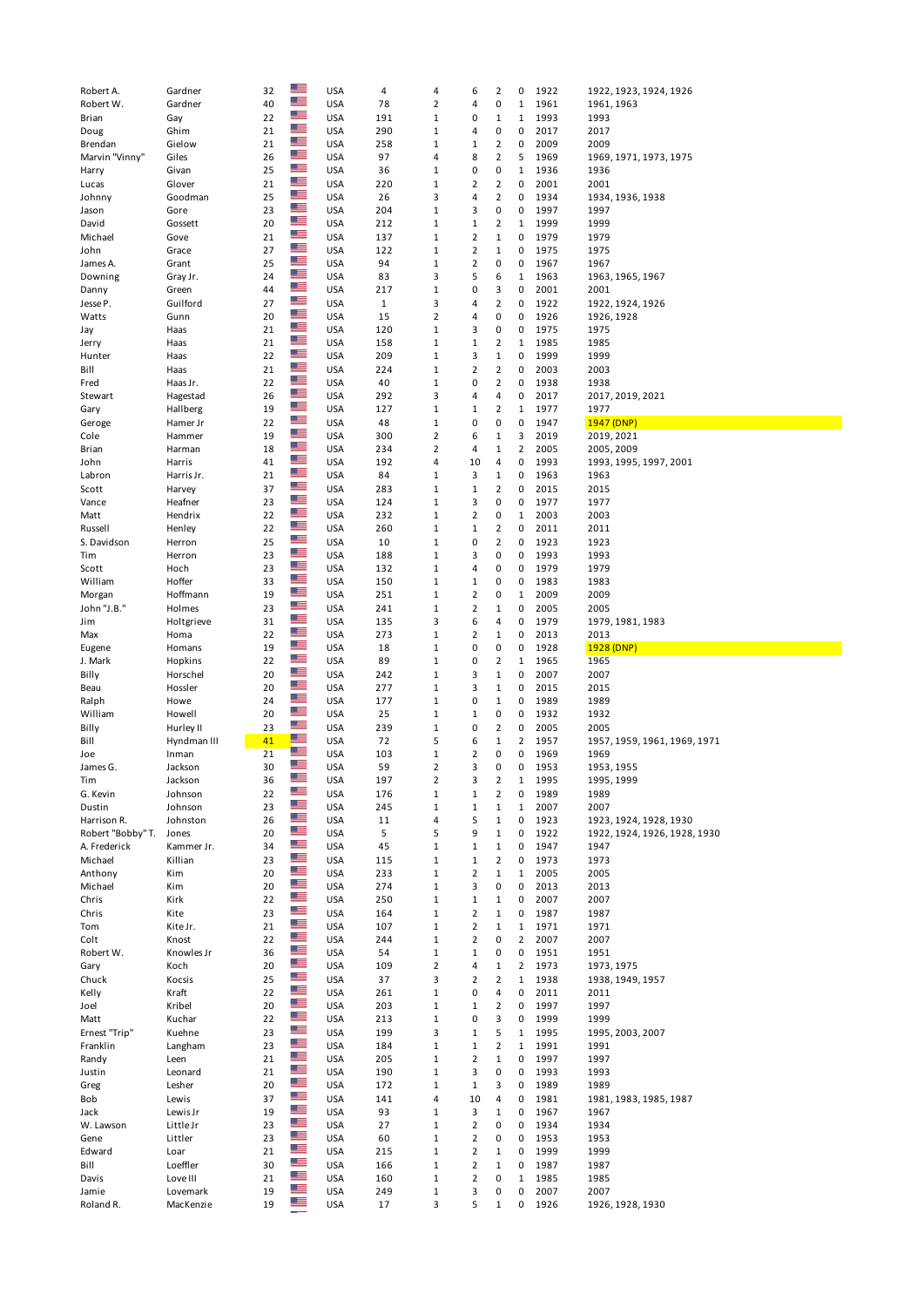| Robert A.          | Gardner               | 32       | $\mathbb{R}$       | <b>USA</b>               | 4            | 4                 | 6                       | 2                | 0              | 1922         | 1922, 1923, 1924, 1926       |
|--------------------|-----------------------|----------|--------------------|--------------------------|--------------|-------------------|-------------------------|------------------|----------------|--------------|------------------------------|
| Robert W.          | Gardner               | 40       |                    | <b>USA</b>               | 78           | 2                 | 4                       | 0                | $1\,$          | 1961         | 1961, 1963                   |
| Brian              | Gay                   | 22       | ≝<br>$\frac{1}{2}$ | <b>USA</b>               | 191          | 1                 | 0                       | $\mathbf{1}$     | $\mathbf{1}$   | 1993         | 1993                         |
| Doug               | Ghim                  | 21       | $\frac{1}{2}$      | <b>USA</b>               | 290          | 1                 | 4                       | 0                | 0              | 2017         | 2017                         |
| Brendan            | Gielow                | 21       | 酒                  | <b>USA</b>               | 258          | 1                 | $\mathbf 1$             | 2                | $\pmb{0}$      | 2009         | 2009                         |
| Marvin "Vinny"     | Giles                 | 26       | 酒                  | <b>USA</b>               | 97           | 4                 | 8                       | $\overline{2}$   | 5              | 1969         | 1969, 1971, 1973, 1975       |
| Harry              | Givan                 | 25       |                    | <b>USA</b>               | 36           | 1                 | 0                       | 0                | $\mathbf{1}$   | 1936         | 1936                         |
| Lucas              | Glover                | 21       | ≝                  | <b>USA</b>               | 220          | $\mathbf{1}$      | 2                       | $\overline{2}$   | $\pmb{0}$      | 2001         | 2001                         |
| Johnny             | Goodman               | 25       | $\frac{1}{10}$     | <b>USA</b>               | 26           | 3                 | 4                       | $\overline{2}$   | 0              | 1934         | 1934, 1936, 1938             |
| Jason              | Gore                  | 23       | $\frac{1}{2}$<br>≊ | <b>USA</b>               | 204          | 1                 | 3                       | 0                | 0              | 1997         | 1997                         |
| David              | Gossett               | 20       |                    | <b>USA</b>               | 212          | $\mathbf{1}$      | $\mathbf 1$             | $\overline{2}$   | $1\,$          | 1999         | 1999                         |
| Michael            | Gove                  | 21       | $\frac{1}{2}$      | <b>USA</b>               | 137          | 1                 | 2                       | $\mathbf{1}$     | 0              | 1979         | 1979                         |
| John               | Grace                 | 27       | ≝                  | <b>USA</b>               | 122          | $\mathbf{1}$      | 2                       | $\mathbf{1}$     | 0              | 1975         | 1975                         |
| James A.           | Grant                 | 25       | $\frac{m}{2}$      | <b>USA</b>               | 94           | 1                 | $\mathbf 2$             | 0                | 0              | 1967         | 1967                         |
| Downing            | Gray Jr.              | 24       | ≊≡                 | <b>USA</b>               | 83           | 3                 | 5                       | 6                | 1              | 1963         | 1963, 1965, 1967             |
| Danny              | Green                 | 44       | ≊≡                 | <b>USA</b>               | 217          | 1                 | 0                       | 3                | 0              | 2001         | 2001                         |
| Jesse P.           | Guilford              | 27       | ≊≡                 | <b>USA</b>               | $\mathbf{1}$ | 3                 | 4                       | $\overline{2}$   | 0              | 1922         | 1922, 1924, 1926             |
| Watts              | Gunn                  | 20       | $\frac{1}{2}$      | <b>USA</b>               | 15           | 2                 | 4                       | 0                | 0              | 1926         | 1926, 1928                   |
| Jay                | Haas                  | 21       | ≊≡                 | <b>USA</b>               | 120          | 1                 | 3                       | 0                | $\pmb{0}$      | 1975         | 1975                         |
| Jerry              | Haas                  | 21       | ≝                  | <b>USA</b>               | 158          | 1                 | $\mathbf 1$             | 2                | 1              | 1985         | 1985                         |
| Hunter             | Haas                  | 22       | $\frac{m}{2}$      | <b>USA</b>               | 209          | 1                 | 3                       | $\mathbf{1}$     | 0              | 1999         | 1999                         |
| Bill               | Haas                  | 21       | ≝                  | <b>USA</b>               | 224          | 1                 | 2                       | $\overline{2}$   | 0              | 2003         | 2003                         |
| Fred               | Haas Jr.              | 22       | ≝                  | <b>USA</b>               | 40           | 1                 | 0                       | $\overline{2}$   | 0              | 1938         | 1938                         |
| Stewart            | Hagestad              | 26       | $\frac{1}{2}$      | <b>USA</b>               | 292          | 3                 | 4                       | 4                | 0              | 2017         | 2017, 2019, 2021             |
| Gary               | Hallberg              | 19       | 準                  | <b>USA</b>               | 127          | 1                 | $\mathbf{1}$            | $\overline{2}$   | $1\,$          | 1977         | 1977                         |
| Geroge             | Hamer Jr              | 22       | ≊≡                 | <b>USA</b>               | 48           | 1                 | 0                       | 0                | 0              | 1947         | 1947 (DNP)                   |
| Cole               | Hammer                | 19       | ≔                  | <b>USA</b>               | 300          | $\overline{2}$    | 6                       | $\mathbf{1}$     | 3              | 2019         | 2019, 2021                   |
| Brian              | Harman                | 18       | $\mathbb{R}$       | <b>USA</b>               | 234          | 2                 | 4                       | $\mathbf{1}$     | 2              | 2005         | 2005, 2009                   |
| John               | Harris                | 41       | $\frac{1}{2}$      | <b>USA</b>               | 192          | 4                 | 10                      | 4                | $\pmb{0}$      | 1993         | 1993, 1995, 1997, 2001       |
| Labron             | Harris Jr.            | 21       | $\frac{m}{2}$      | <b>USA</b>               | 84           | 1                 | 3                       | $\mathbf{1}$     | 0              | 1963         | 1963                         |
| Scott              | Harvey                | 37       | $\frac{m}{2}$      | <b>USA</b>               | 283          | 1                 | $\mathbf 1$             | $\overline{2}$   | 0              | 2015         | 2015                         |
| Vance              | Heafner               | 23       | ≝                  | <b>USA</b>               | 124          | $\mathbf{1}$      | 3                       | 0                | $\pmb{0}$      | 1977         | 1977                         |
| Matt               | Hendrix               | 22       | 酒                  | <b>USA</b>               | 232          | 1                 | 2                       | 0                | 1              | 2003         | 2003                         |
| Russell            | Henley                | 22       | $\frac{1}{2}$      | <b>USA</b>               | 260          | 1                 | $\mathbf 1$             | $\overline{2}$   | $\pmb{0}$      | 2011         | 2011                         |
| S. Davidson        | Herron                | 25       | $\mathbb{R}$       | <b>USA</b>               | 10           | 1                 | 0                       | $\overline{2}$   | 0              | 1923         | 1923                         |
| Tim                | Herron                | 23       | ≝                  | <b>USA</b>               | 188          | $\mathbf{1}$      | 3                       | 0                | 0              | 1993         | 1993                         |
| Scott              | Hoch                  | 23       | $\frac{1}{2}$      | <b>USA</b>               | 132          | 1                 | 4                       | 0                | 0              | 1979         | 1979                         |
| William            | Hoffer                | 33       | $\frac{1}{2}$      | <b>USA</b>               | 150          | 1                 | $\mathbf 1$             | 0                | 0              | 1983         | 1983                         |
| Morgan             | Hoffmann              | 19       | $\frac{1}{2}$      | <b>USA</b>               | 251          | 1                 | 2                       | 0                | 1              | 2009         | 2009                         |
| John "J.B."        | Holmes                | 23       | 酒                  | <b>USA</b>               | 241          | 1                 | $\overline{2}$          | $\mathbf{1}$     | 0              | 2005         | 2005                         |
| Jim                | Holtgrieve            | 31       | ≝                  | <b>USA</b>               | 135          | 3                 | 6                       | 4                | $\pmb{0}$      | 1979         | 1979, 1981, 1983             |
| Max                | Homa                  | 22       | ≝                  | <b>USA</b>               | 273          | 1                 | 2                       | $\mathbf{1}$     | 0              | 2013         | 2013                         |
| Eugene             | Homans                | 19       | ≝                  |                          |              |                   |                         | 0                | 0              | 1928         |                              |
|                    |                       |          |                    | <b>USA</b>               | 18           | $1\,$             | 0                       |                  |                |              | 1928 (DNP)                   |
| J. Mark            | Hopkins               | 22       | 津                  | <b>USA</b>               | 89           | 1                 | 0                       | $\overline{2}$   | $\mathbf{1}$   | 1965         | 1965                         |
| Billy              | Horschel              | 20       | $\frac{1}{2}$      | <b>USA</b>               | 242          | 1                 | 3                       | $\mathbf{1}$     | 0              | 2007         | 2007                         |
| Beau               | Hossler               | 20       | ≝                  | <b>USA</b>               | 277          | $\mathbf{1}$      | 3                       | $\mathbf{1}$     | 0              | 2015         | 2015                         |
| Ralph              | Howe                  | 24       | ≝                  | <b>USA</b>               | 177          | 1                 | 0                       | $\mathbf{1}$     | 0              | 1989         | 1989                         |
| William            | Howell                | 20       | ≊≡                 | <b>USA</b>               | 25           | 1                 | $\mathbf 1$             | 0                | $\pmb{0}$      | 1932         | 1932                         |
| Billy              | Hurley II             | 23       | ≊≡                 | <b>USA</b>               | 239          | 1                 | 0                       | 2                | 0              | 2005         | 2005                         |
| Bill               | Hyndman III           | 41       | ≝                  | <b>USA</b>               | 72           | 5                 | 6                       | $\mathbf{1}$     | 2              | 1957         | 1957, 1959, 1961, 1969, 1971 |
| Joe                | Inman                 | 21       | $\alpha$           | <b>USA</b>               | 103          | $\mathbf{1}$      | 2                       | 0                | 0              | 1969         | 1969                         |
| James G.           | Jackson               | 30       | 淫言                 | <b>USA</b>               | 59           | $\overline{2}$    | 3                       | 0                | 0              | 1953         | 1953, 1955                   |
| Tim                | Jackson               | 36       | ≝                  | <b>USA</b>               | 197          | 2                 | 3                       | 2                | $\mathbf{1}$   | 1995         | 1995, 1999                   |
| G. Kevin           | Johnson               | 22       | $\frac{1}{2}$      | <b>USA</b>               | 176          | $\mathbf{1}$      | 1                       | $\overline{2}$   | 0              | 1989         | 1989                         |
| Dustin             | Johnson               | 23       | 罕                  | <b>USA</b>               | 245          | $\mathbf{1}$      | $\mathbf 1$             | $\mathbf{1}$     | $\mathbf 1$    | 2007         | 2007                         |
| Harrison R.        | Johnston              | 26       | ≊≡                 | <b>USA</b>               | 11           | 4                 | 5                       | $\mathbf{1}$     | 0              | 1923         | 1923, 1924, 1928, 1930       |
| Robert "Bobby" T.  | Jones                 | 20       | ≝                  | <b>USA</b>               | 5            | 5                 | 9                       | $\mathbf{1}$     | 0              | 1922         | 1922, 1924, 1926, 1928, 1930 |
| A. Frederick       | Kammer Jr.            | 34       | 準                  | <b>USA</b>               | 45           | $1\,$             | $\mathbf 1$             | $\mathbf{1}$     | 0              | 1947         | 1947                         |
| Michael            | Killian               | 23       | ≝                  | <b>USA</b>               | 115          | 1                 | $\mathbf 1$             | $\overline{2}$   | $\pmb{0}$      | 1973         | 1973                         |
| Anthony            | Kim                   | 20       | ≝                  | <b>USA</b>               | 233          | $1\,$             | $\overline{\mathbf{c}}$ | $\mathbf 1$      | $\mathbf 1$    | 2005         | 2005                         |
| Michael            | Kim                   | 20       | $\frac{1}{10}$     | <b>USA</b>               | 274          | 1                 | 3                       | 0                | 0              | 2013         | 2013                         |
| Chris              | Kirk                  | 22       | $\frac{1}{2}$      | <b>USA</b>               | 250          | $\mathbf{1}$      | $\mathbf 1$             | $\mathbf{1}$     | $\pmb{0}$      | 2007         | 2007                         |
| Chris              | Kite                  | 23       | ≊≡                 | <b>USA</b>               | 164          | $\mathbf{1}$      | $\overline{\mathbf{c}}$ | $\mathbf{1}$     | 0              | 1987         | 1987                         |
| Tom                | Kite Jr.              | 21       | $\frac{m}{2}$      | <b>USA</b>               | 107          | $\mathbf{1}$      | $\overline{\mathbf{c}}$ | $\mathbf{1}$     | $\mathbf 1$    | 1971         | 1971                         |
| Colt               | Knost                 | 22       | $\frac{1}{2}$      | <b>USA</b>               | 244          | $\mathbf{1}$      | 2                       | 0                | $\overline{2}$ | 2007         | 2007                         |
| Robert W.          | Knowles Jr            | 36       | $\frac{m}{2}$      | <b>USA</b>               | 54           | $\mathbf{1}$      | $\mathbf 1$             | 0                | $\pmb{0}$      | 1951         | 1951                         |
| Gary               | Koch                  | 20       | $\frac{1}{2}$      | <b>USA</b>               | 109          | $\overline{2}$    | 4                       | $\mathbf{1}$     | $\overline{2}$ | 1973         | 1973, 1975                   |
| Chuck              | Kocsis                | 25       | $\frac{1}{2}$      | <b>USA</b>               | 37           | 3                 | $\overline{\mathbf{c}}$ | $\overline{2}$   | $\mathbf 1$    | 1938         | 1938, 1949, 1957             |
| Kelly              | Kraft                 | 22       | ≝                  | <b>USA</b>               | 261          | $1\,$             | 0                       | 4                | 0              | 2011         | 2011                         |
| Joel               | Kribel                | 20       | $\frac{m}{2}$      | <b>USA</b>               | 203          | $\mathbf{1}$      | $\mathbf 1$             | $\mathbf 2$      | 0              | 1997         | 1997                         |
| Matt               | Kuchar                | 22       | $\frac{m}{2}$      | <b>USA</b>               | 213          | $\mathbf{1}$      | 0                       | 3                | 0              | 1999         | 1999                         |
| Ernest "Trip"      | Kuehne                | 23       | $\frac{1}{2}$      | <b>USA</b>               | 199          | 3                 | $\mathbf 1$             | 5                | $\mathbf 1$    | 1995         | 1995, 2003, 2007             |
| Franklin           | Langham               | 23       | $\frac{m}{2}$      | <b>USA</b>               | 184          | 1                 | $\mathbf 1$             | $\overline{2}$   | $\mathbf 1$    | 1991         | 1991                         |
| Randy              | Leen                  | 21       | ≊≡                 | <b>USA</b>               | 205          | $\mathbf{1}$      | $\overline{2}$          | $\mathbf 1$      | $\pmb{0}$      | 1997         | 1997                         |
| Justin             | Leonard               | 21       | ≝                  | <b>USA</b>               | 190          | $\mathbf{1}$      | 3                       | 0                | 0              | 1993         | 1993                         |
| Greg               | Lesher                | 20       | ≊≡                 | <b>USA</b>               | 172          | $\mathbf{1}$      | $\mathbf 1$             | 3                | 0              | 1989         | 1989                         |
| Bob                | Lewis                 | 37       | $\frac{1}{10}$     | <b>USA</b>               | 141          | 4                 | 10                      | 4                | 0              | 1981         | 1981, 1983, 1985, 1987       |
| Jack               | Lewis Jr              | 19       | ≝                  | <b>USA</b>               | 93           | 1                 | 3                       | $\mathbf{1}$     | $\pmb{0}$      | 1967         | 1967                         |
| W. Lawson          | Little Jr             | 23       | $\frac{m}{2}$      | <b>USA</b>               | 27           | $\mathbf{1}$      | $\mathbf 2$             | 0                | $\pmb{0}$      | 1934         | 1934                         |
| Gene               | Littler               | 23       | ≝                  | <b>USA</b>               | 60           | $\mathbf{1}$      | $\overline{2}$          | 0                | $\pmb{0}$      | 1953         | 1953                         |
| Edward             | Loar                  | 21       | ≊≡                 | <b>USA</b>               | 215          | $\mathbf{1}$      | 2                       | $\mathbf{1}$     | 0              | 1999         | 1999                         |
| Bill               | Loeffler              | 30       | 罕                  | <b>USA</b>               | 166          | $1\,$             | 2                       | $\mathbf{1}$     | 0              | 1987         | 1987                         |
| Davis              | Love III              | 21       | ≝                  | <b>USA</b>               | 160          | $1\,$             | $\mathbf 2$             | 0                | $1\,$          | 1985         | 1985                         |
| Jamie<br>Roland R. | Lovemark<br>MacKenzie | 19<br>19 | 準<br>$\frac{1}{2}$ | <b>USA</b><br><b>USA</b> | 249<br>17    | $\mathbf{1}$<br>3 | 3<br>5                  | 0<br>$\mathbf 1$ | $\pmb{0}$<br>0 | 2007<br>1926 | 2007<br>1926, 1928, 1930     |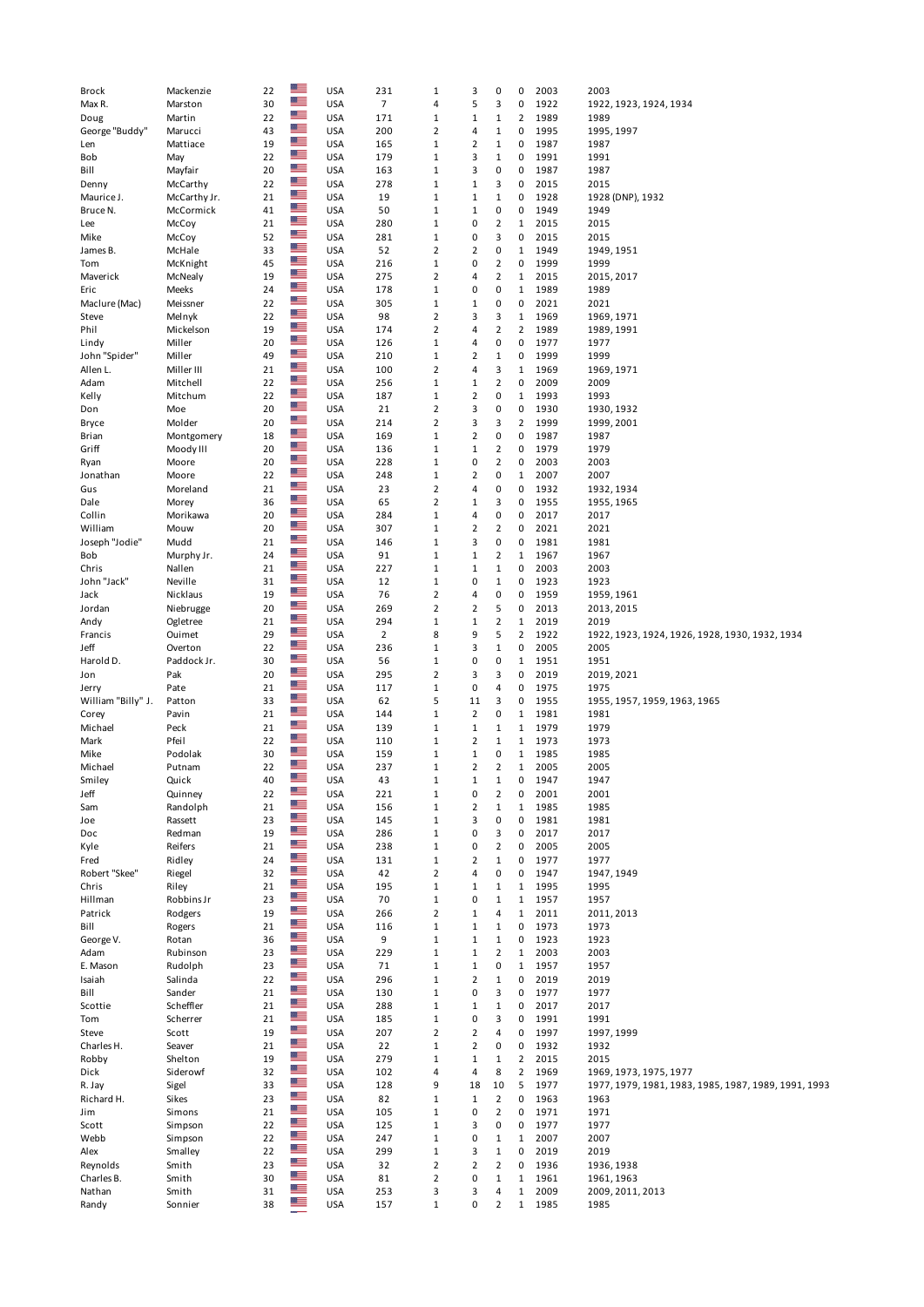| Brock              | Mackenzie    | 22 |                | <b>USA</b> | 231            | $\mathbf{1}$   | 3              | 0              | 0              | 2003 | 2003                                                 |
|--------------------|--------------|----|----------------|------------|----------------|----------------|----------------|----------------|----------------|------|------------------------------------------------------|
|                    |              |    | $\mathbb{Z}$   |            |                |                |                |                |                |      |                                                      |
| Max R.             | Marston      | 30 |                | <b>USA</b> | $\overline{7}$ | 4              | 5              | 3              | 0              | 1922 | 1922, 1923, 1924, 1934                               |
| Doug               | Martin       | 22 | ≝≡             | <b>USA</b> | 171            | $\mathbf 1$    | $\mathbf 1$    | $\mathbf{1}$   | $\overline{2}$ | 1989 | 1989                                                 |
| George "Buddy"     | Marucci      | 43 | $\frac{1}{2}$  | <b>USA</b> | 200            | $\overline{2}$ | 4              | $\mathbf{1}$   | $\pmb{0}$      | 1995 | 1995, 1997                                           |
| Len                | Mattiace     | 19 | ╩              | <b>USA</b> | 165            | $\mathbf{1}$   | 2              | $\mathbf{1}$   | 0              | 1987 | 1987                                                 |
| Bob                | May          | 22 | $\frac{m}{2}$  | <b>USA</b> | 179            | $\,1\,$        | 3              | $\mathbf 1$    | 0              | 1991 | 1991                                                 |
| Bill               | Mayfair      | 20 | $\frac{1}{10}$ | <b>USA</b> | 163            | $\,1\,$        | 3              | $\pmb{0}$      | $\pmb{0}$      | 1987 | 1987                                                 |
|                    |              |    | ≝≡             |            |                |                |                |                |                |      |                                                      |
| Denny              | McCarthy     | 22 | $\mathbb{Z}$ . | <b>USA</b> | 278            | $\mathbf{1}$   | $\mathbf 1$    | 3              | 0              | 2015 | 2015                                                 |
| Maurice J.         | McCarthy Jr. | 21 |                | <b>USA</b> | 19             | $\mathbf 1$    | $\mathbf 1$    | $\mathbf 1$    | 0              | 1928 | 1928 (DNP), 1932                                     |
| Bruce N.           | McCormick    | 41 | <u>er</u>      | <b>USA</b> | 50             | $\,1\,$        | $\mathbf 1$    | 0              | 0              | 1949 | 1949                                                 |
| Lee                | McCoy        | 21 | $\mathbb{Z}$   | <b>USA</b> | 280            | $\,1\,$        | 0              | $\mathbf 2$    | 1              | 2015 | 2015                                                 |
| Mike               | McCoy        | 52 | ╩              | <b>USA</b> | 281            | $\mathbf{1}$   | 0              | 3              | 0              | 2015 | 2015                                                 |
|                    |              |    | $\frac{1}{2}$  |            |                | $\mathbf 2$    |                |                | $1\,$          |      |                                                      |
| James B.           | McHale       | 33 | $\frac{m}{2}$  | <b>USA</b> | 52             |                | 2              | 0              |                | 1949 | 1949, 1951                                           |
| Tom                | McKnight     | 45 |                | <b>USA</b> | 216            | $\,1\,$        | 0              | $\overline{2}$ | $\pmb{0}$      | 1999 | 1999                                                 |
| Maverick           | McNealy      | 19 | ╩              | <b>USA</b> | 275            | $\overline{2}$ | 4              | $\overline{2}$ | 1              | 2015 | 2015, 2017                                           |
| Eric               | Meeks        | 24 | $\mathbb{Z}$   | <b>USA</b> | 178            | $\mathbf 1$    | 0              | 0              | $1\,$          | 1989 | 1989                                                 |
| Maclure (Mac)      | Meissner     | 22 | ≝≡             | <b>USA</b> | 305            | $\,1\,$        | $\mathbf 1$    | 0              | 0              | 2021 | 2021                                                 |
|                    | Melnyk       | 22 | $\frac{m}{2}$  | <b>USA</b> | 98             | $\overline{2}$ | 3              | 3              | $\mathbf{1}$   | 1969 |                                                      |
| Steve              |              |    | ╩              |            |                |                |                |                |                |      | 1969, 1971                                           |
| Phil               | Mickelson    | 19 |                | <b>USA</b> | 174            | $\overline{2}$ | 4              | $\mathbf 2$    | $\overline{2}$ | 1989 | 1989, 1991                                           |
| Lindy              | Miller       | 20 | $\mathbb{Z}$ . | <b>USA</b> | 126            | $\,1\,$        | 4              | $\pmb{0}$      | $\pmb{0}$      | 1977 | 1977                                                 |
| John "Spider"      | Miller       | 49 | 習              | <b>USA</b> | 210            | $\mathbf{1}$   | 2              | 1              | 0              | 1999 | 1999                                                 |
| Allen L.           | Miller III   | 21 | ∸              | <b>USA</b> | 100            | $\mathbf 2$    | 4              | 3              | $\mathbf{1}$   | 1969 | 1969, 1971                                           |
| Adam               | Mitchell     | 22 | $\frac{1}{2}$  | <b>USA</b> | 256            | $1\,$          | $\mathbf 1$    | $\mathbf 2$    | 0              | 2009 | 2009                                                 |
|                    |              | 22 | ╩              | <b>USA</b> | 187            | $\,1\,$        | 2              | $\pmb{0}$      | $\mathbf{1}$   | 1993 |                                                      |
| Kelly              | Mitchum      |    | $\frac{m}{2}$  |            |                |                |                |                |                |      | 1993                                                 |
| Don                | Moe          | 20 |                | <b>USA</b> | 21             | $\overline{2}$ | 3              | 0              | 0              | 1930 | 1930, 1932                                           |
| Bryce              | Molder       | 20 | ≝≡             | <b>USA</b> | 214            | $\overline{2}$ | 3              | 3              | $\overline{2}$ | 1999 | 1999, 2001                                           |
| Brian              | Montgomery   | 18 | $\frac{m}{2}$  | <b>USA</b> | 169            | $\,1\,$        | 2              | $\pmb{0}$      | $\pmb{0}$      | 1987 | 1987                                                 |
| Griff              | Moody III    | 20 | $\frac{m}{2}$  | <b>USA</b> | 136            | $\mathbf{1}$   | $\mathbf 1$    | $\overline{2}$ | 0              | 1979 | 1979                                                 |
|                    | Moore        | 20 | ≝≡             | <b>USA</b> | 228            | $\,1\,$        | 0              | $\mathbf 2$    | 0              | 2003 | 2003                                                 |
| Ryan               |              |    | $\frac{1}{2}$  |            |                |                |                |                |                |      |                                                      |
| Jonathan           | Moore        | 22 |                | <b>USA</b> | 248            | $\,1\,$        | 2              | 0              | $1\,$          | 2007 | 2007                                                 |
| Gus                | Moreland     | 21 | ≝≡             | <b>USA</b> | 23             | $\overline{2}$ | 4              | 0              | 0              | 1932 | 1932, 1934                                           |
| Dale               | Morey        | 36 | $\frac{m}{2}$  | <b>USA</b> | 65             | $\overline{2}$ | $\mathbf 1$    | 3              | 0              | 1955 | 1955, 1965                                           |
| Collin             | Morikawa     | 20 | $\frac{1}{2}$  | <b>USA</b> | 284            | $1\,$          | 4              | $\pmb{0}$      | $\pmb{0}$      | 2017 | 2017                                                 |
| William            | Mouw         | 20 | ╩              | <b>USA</b> | 307            | $1\,$          | 2              | $\overline{2}$ | 0              | 2021 | 2021                                                 |
|                    |              |    | $\mathbb{Z}$ . |            |                |                |                |                |                |      |                                                      |
| Joseph "Jodie"     | Mudd         | 21 | ≡              | <b>USA</b> | 146            | $\,1\,$        | 3              | 0              | 0              | 1981 | 1981                                                 |
| Bob                | Murphy Jr.   | 24 |                | <b>USA</b> | 91             | $\mathbf 1$    | $\mathbf 1$    | $\mathbf 2$    | 1              | 1967 | 1967                                                 |
| Chris              | Nallen       | 21 | $\frac{m}{2}$  | <b>USA</b> | 227            | $\,1\,$        | $\mathbf 1$    | $\mathbf 1$    | $\pmb{0}$      | 2003 | 2003                                                 |
| John "Jack"        | Neville      | 31 | ╩              | <b>USA</b> | 12             | $\mathbf{1}$   | 0              | $\mathbf 1$    | 0              | 1923 | 1923                                                 |
| Jack               | Nicklaus     | 19 | $\mathbb{Z}$ . | <b>USA</b> | 76             | $\overline{2}$ | 4              | 0              | 0              | 1959 | 1959, 1961                                           |
| Jordan             |              | 20 | $\frac{m}{2}$  | <b>USA</b> | 269            | $\overline{2}$ | 2              | 5              | $\pmb{0}$      | 2013 | 2013, 2015                                           |
|                    | Niebrugge    |    | ≝≡             |            |                |                |                |                |                |      |                                                      |
| Andy               | Ogletree     | 21 |                | <b>USA</b> | 294            | $\mathbf{1}$   | 1              | $\overline{2}$ | 1              | 2019 | 2019                                                 |
| Francis            | Ouimet       | 29 | $\mathbb{Z}$ . | <b>USA</b> | $\overline{2}$ | 8              | 9              | 5              | $\overline{2}$ | 1922 | 1922, 1923, 1924, 1926, 1928, 1930, 1932, 1934       |
| Jeff               | Overton      | 22 | ≝≡             | <b>USA</b> | 236            | $1\,$          | 3              | $\mathbf 1$    | $\pmb{0}$      | 2005 | 2005                                                 |
| Harold D.          | Paddock Jr.  | 30 | ≊≡             | <b>USA</b> | 56             | $\,1\,$        | 0              | 0              | $\mathbf{1}$   | 1951 | 1951                                                 |
| Jon                | Pak          | 20 | ∸              | <b>USA</b> | 295            | $\overline{2}$ | 3              | 3              | 0              | 2019 | 2019, 2021                                           |
|                    |              |    | $\frac{1}{2}$  |            |                |                |                |                |                |      |                                                      |
| Jerry              | Pate         | 21 |                | <b>USA</b> | 117            | $\,1\,$        | 0              | 4              | 0              | 1975 | 1975                                                 |
| William "Billy" J. | Patton       | 33 | ≝              | <b>USA</b> | 62             | 5              | 11             | 3              | 0              | 1955 | 1955, 1957, 1959, 1963, 1965                         |
| Corey              | Pavin        | 21 | ╩              | <b>USA</b> | 144            | $\mathbf{1}$   | 2              | 0              | 1              | 1981 | 1981                                                 |
| Michael            | Peck         | 21 | $\mathbb{Z}$   | <b>USA</b> | 139            | $1\,$          | 1              | $\mathbf{1}$   | 1              | 1979 | 1979                                                 |
| Mark               | Pfeil        | 22 | $\frac{m}{2}$  | <b>USA</b> | 110            | $\,1\,$        | 2              | 1              | $\mathbf{1}$   | 1973 | 1973                                                 |
|                    |              |    | $\mathbb{Z}$   |            |                |                |                |                |                |      |                                                      |
| Mike               | Podolak      | 30 |                | <b>USA</b> | 159            | $\,1\,$        | $\mathbf 1$    | 0              | $\mathbf{1}$   | 1985 | 1985                                                 |
| Michael            | Putnam       | 22 | <u>er</u>      | <b>USA</b> | 237            | $\,1\,$        | $\overline{2}$ | $\overline{2}$ | $\mathbf 1$    | 2005 | 2005                                                 |
| Smilev             | Quick        | 40 | æ              | <b>USA</b> | 43             | 1              | 1              | $\mathbf{1}$   | 0              | 1947 | 1947                                                 |
| Jeff               | Quinney      | 22 | ≝≡             | <b>USA</b> | 221            | $\,1\,$        | 0              | $\overline{2}$ | $\pmb{0}$      | 2001 | 2001                                                 |
| Sam                | Randolph     | 21 | $\frac{1}{2}$  | <b>USA</b> | 156            | $\mathbf 1$    | $\mathbf 2$    | $\mathbf 1$    | $\mathbf 1$    | 1985 | 1985                                                 |
|                    |              |    | $\frac{1}{10}$ |            |                |                |                |                |                |      |                                                      |
| Joe                | Rassett      | 23 |                | <b>USA</b> | 145            | $\mathbf 1$    | 3              | 0              | $\pmb{0}$      | 1981 | 1981                                                 |
| Doc                | Redman       | 19 | ≊≡             | <b>USA</b> | 286            | $\,1\,$        | 0              | 3              | 0              | 2017 | 2017                                                 |
| Kyle               | Reifers      | 21 | $\mathbb{Z}$   | <b>USA</b> | 238            | $\,1\,$        | 0              | $\overline{2}$ | 0              | 2005 | 2005                                                 |
| Fred               | Ridley       | 24 | $\frac{m}{2}$  | <b>USA</b> | 131            | $\,1\,$        | 2              | $\mathbf{1}$   | 0              | 1977 | 1977                                                 |
| Robert "Skee"      | Riegel       | 32 | $\frac{m}{2}$  | <b>USA</b> | 42             | $\overline{2}$ | 4              | 0              | 0              | 1947 | 1947, 1949                                           |
|                    |              |    | $\mathbb{Z}$   |            |                |                |                |                |                |      |                                                      |
| Chris              | Riley        | 21 |                | <b>USA</b> | 195            | $\,1\,$        | 1              | $\mathbf 1$    | 1              | 1995 | 1995                                                 |
| Hillman            | Robbins Jr   | 23 | ≝≡             | <b>USA</b> | 70             | $\,1\,$        | 0              | $\mathbf 1$    | $\mathbf{1}$   | 1957 | 1957                                                 |
| Patrick            | Rodgers      | 19 | $\frac{1}{2}$  | <b>USA</b> | 266            | $\overline{2}$ | $\mathbf 1$    | 4              | $\mathbf{1}$   | 2011 | 2011, 2013                                           |
| Bill               | Rogers       | 21 | ≝≡             | <b>USA</b> | 116            | $\,1\,$        | $\mathbf 1$    | $\mathbf 1$    | 0              | 1973 | 1973                                                 |
| George V.          | Rotan        | 36 | $\mathbb{Z}$   | <b>USA</b> | 9              | $\mathbf 1$    | $\mathbf 1$    | $\mathbf 1$    | 0              | 1923 | 1923                                                 |
|                    |              | 23 | $\frac{m}{2}$  | <b>USA</b> |                | $1\,$          | $\mathbf 1$    | $\overline{2}$ | $\mathbf{1}$   |      |                                                      |
| Adam               | Rubinson     |    | ≊≡             |            | 229            |                |                |                |                | 2003 | 2003                                                 |
| E. Mason           | Rudolph      | 23 |                | <b>USA</b> | 71             | $\mathbf{1}$   | 1              | 0              | $\mathbf{1}$   | 1957 | 1957                                                 |
| Isaiah             | Salinda      | 22 | $\frac{m}{2}$  | <b>USA</b> | 296            | $\mathbf 1$    | $\mathbf 2$    | $\mathbf 1$    | $\pmb{0}$      | 2019 | 2019                                                 |
| Bill               | Sander       | 21 | $\frac{m}{2}$  | <b>USA</b> | 130            | $1\,$          | 0              | 3              | 0              | 1977 | 1977                                                 |
| Scottie            | Scheffler    | 21 | $\frac{m}{2}$  | <b>USA</b> | 288            | $\,1\,$        | $\mathbf 1$    | $\mathbf 1$    | $\pmb{0}$      | 2017 | 2017                                                 |
| Tom                | Scherrer     | 21 | ╩              | <b>USA</b> | 185            | $\,1\,$        | 0              | 3              | $\pmb{0}$      | 1991 | 1991                                                 |
|                    |              |    | $\frac{1}{10}$ |            |                |                |                |                |                |      |                                                      |
| Steve              | Scott        | 19 |                | <b>USA</b> | 207            | $\overline{2}$ | 2              | 4              | 0              | 1997 | 1997, 1999                                           |
| Charles H.         | Seaver       | 21 | $\frac{1}{2}$  | <b>USA</b> | 22             | $\,1\,$        | 2              | 0              | 0              | 1932 | 1932                                                 |
| Robby              | Shelton      | 19 | $\frac{m}{2}$  | <b>USA</b> | 279            | $\,1\,$        | $\mathbf 1$    | $\mathbf 1$    | $\overline{2}$ | 2015 | 2015                                                 |
| Dick               | Siderowf     | 32 | $\frac{1}{10}$ | <b>USA</b> | 102            | 4              | 4              | 8              | $\overline{2}$ | 1969 | 1969, 1973, 1975, 1977                               |
| R. Jay             | Sigel        | 33 | ≝≡             | <b>USA</b> | 128            | 9              | 18             | 10             | 5              | 1977 | 1977, 1979, 1981, 1983, 1985, 1987, 1989, 1991, 1993 |
|                    |              |    | $\frac{1}{2}$  |            |                |                |                |                |                |      |                                                      |
| Richard H.         | Sikes        | 23 | $\frac{1}{2}$  | <b>USA</b> | 82             | $\,1\,$        | $\mathbf 1$    | $\overline{2}$ | 0              | 1963 | 1963                                                 |
| Jim                | Simons       | 21 |                | <b>USA</b> | 105            | $\,1\,$        | 0              | $\overline{2}$ | 0              | 1971 | 1971                                                 |
| Scott              | Simpson      | 22 | $\mathbb{Z}$   | <b>USA</b> | 125            | $1\,$          | 3              | $\pmb{0}$      | 0              | 1977 | 1977                                                 |
| Webb               | Simpson      | 22 | ≝              | <b>USA</b> | 247            | $\,1\,$        | 0              | $\mathbf 1$    | $\mathbf{1}$   | 2007 | 2007                                                 |
| Alex               | Smalley      | 22 | $\frac{m}{2}$  | <b>USA</b> | 299            | $\,1\,$        | 3              | $\mathbf 1$    | 0              | 2019 | 2019                                                 |
|                    |              |    | $\frac{1}{2}$  |            |                |                |                |                |                |      |                                                      |
| Reynolds           | Smith        | 23 | ≝≡             | <b>USA</b> | 32             | $\overline{2}$ | $\mathbf 2$    | $\overline{2}$ | $\pmb{0}$      | 1936 | 1936, 1938                                           |
| Charles B.         | Smith        | 30 |                | <b>USA</b> | 81             | $\overline{2}$ | 0              | $\mathbf 1$    | $\mathbf{1}$   | 1961 | 1961, 1963                                           |
| Nathan             | Smith        | 31 | $\frac{m}{2}$  | <b>USA</b> | 253            | 3              | 3              | 4              | $\mathbf 1$    | 2009 | 2009, 2011, 2013                                     |
| Randy              | Sonnier      | 38 | ≡              | <b>USA</b> | 157            | $\mathbf 1$    | 0              | $\overline{2}$ | $\mathbf 1$    | 1985 | 1985                                                 |